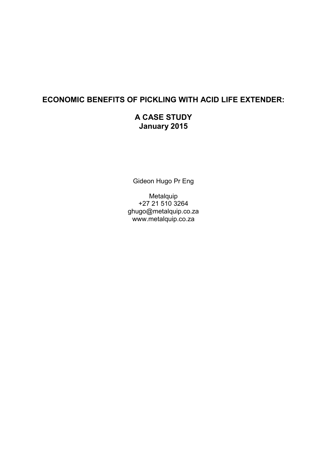# **ECONOMIC BENEFITS OF PICKLING WITH ACID LIFE EXTENDER:**

# **A CASE STUDY January 2015**

Gideon Hugo Pr Eng

Metalquip +27 21 510 3264 ghugo@metalquip.co.za www.metalquip.co.za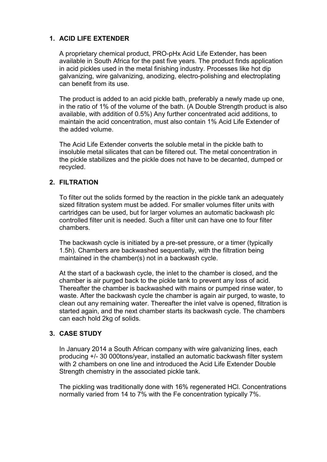## **1. ACID LIFE EXTENDER**

A proprietary chemical product, PRO-pHx Acid Life Extender, has been available in South Africa for the past five years. The product finds application in acid pickles used in the metal finishing industry. Processes like hot dip galvanizing, wire galvanizing, anodizing, electro-polishing and electroplating can benefit from its use.

The product is added to an acid pickle bath, preferably a newly made up one, in the ratio of 1% of the volume of the bath. (A Double Strength product is also available, with addition of 0.5%) Any further concentrated acid additions, to maintain the acid concentration, must also contain 1% Acid Life Extender of the added volume.

The Acid Life Extender converts the soluble metal in the pickle bath to insoluble metal silicates that can be filtered out. The metal concentration in the pickle stabilizes and the pickle does not have to be decanted, dumped or recycled.

#### **2. FILTRATION**

To filter out the solids formed by the reaction in the pickle tank an adequately sized filtration system must be added. For smaller volumes filter units with cartridges can be used, but for larger volumes an automatic backwash plc controlled filter unit is needed. Such a filter unit can have one to four filter chambers.

The backwash cycle is initiated by a pre-set pressure, or a timer (typically 1.5h). Chambers are backwashed sequentially, with the filtration being maintained in the chamber(s) not in a backwash cycle.

At the start of a backwash cycle, the inlet to the chamber is closed, and the chamber is air purged back to the pickle tank to prevent any loss of acid. Thereafter the chamber is backwashed with mains or pumped rinse water, to waste. After the backwash cycle the chamber is again air purged, to waste, to clean out any remaining water. Thereafter the inlet valve is opened, filtration is started again, and the next chamber starts its backwash cycle. The chambers can each hold 2kg of solids.

### **3. CASE STUDY**

In January 2014 a South African company with wire galvanizing lines, each producing +/- 30 000tons/year, installed an automatic backwash filter system with 2 chambers on one line and introduced the Acid Life Extender Double Strength chemistry in the associated pickle tank.

The pickling was traditionally done with 16% regenerated HCl. Concentrations normally varied from 14 to 7% with the Fe concentration typically 7%.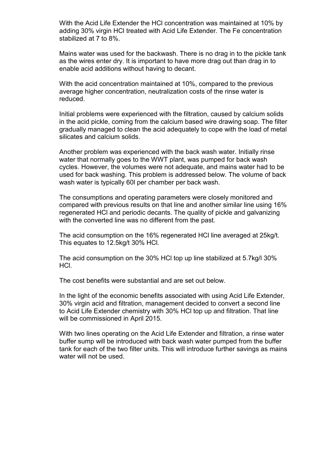With the Acid Life Extender the HCl concentration was maintained at 10% by adding 30% virgin HCl treated with Acid Life Extender. The Fe concentration stabilized at 7 to 8%.

Mains water was used for the backwash. There is no drag in to the pickle tank as the wires enter dry. It is important to have more drag out than drag in to enable acid additions without having to decant.

With the acid concentration maintained at 10%, compared to the previous average higher concentration, neutralization costs of the rinse water is reduced.

Initial problems were experienced with the filtration, caused by calcium solids in the acid pickle, coming from the calcium based wire drawing soap. The filter gradually managed to clean the acid adequately to cope with the load of metal silicates and calcium solids.

Another problem was experienced with the back wash water. Initially rinse water that normally goes to the WWT plant, was pumped for back wash cycles. However, the volumes were not adequate, and mains water had to be used for back washing. This problem is addressed below. The volume of back wash water is typically 60l per chamber per back wash.

The consumptions and operating parameters were closely monitored and compared with previous results on that line and another similar line using 16% regenerated HCl and periodic decants. The quality of pickle and galvanizing with the converted line was no different from the past.

The acid consumption on the 16% regenerated HCl line averaged at 25kg/t. This equates to 12.5kg/t 30% HCl.

The acid consumption on the 30% HCl top up line stabilized at 5.7kg/l 30% HCl.

The cost benefits were substantial and are set out below.

In the light of the economic benefits associated with using Acid Life Extender, 30% virgin acid and filtration, management decided to convert a second line to Acid Life Extender chemistry with 30% HCl top up and filtration. That line will be commissioned in April 2015.

With two lines operating on the Acid Life Extender and filtration, a rinse water buffer sump will be introduced with back wash water pumped from the buffer tank for each of the two filter units. This will introduce further savings as mains water will not be used.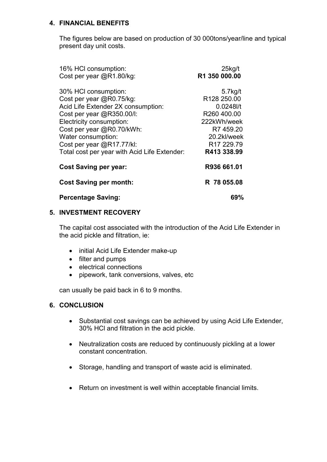### **4. FINANCIAL BENEFITS**

The figures below are based on production of 30 000tons/year/line and typical present day unit costs.

| 16% HCI consumption:<br>Cost per year @R1.80/kg: | $25$ kg/t<br>R1 350 000.00 |
|--------------------------------------------------|----------------------------|
| 30% HCI consumption:                             | $5.7$ kg/t                 |
| Cost per year @R0.75/kg:                         | R128 250.00                |
| Acid Life Extender 2X consumption:               | $0.0248$ l/t               |
| Cost per year @R350.00/I:                        | R260 400.00                |
| Electricity consumption:                         | 222kWh/week                |
| Cost per year @R0.70/kWh:                        | R7 459.20                  |
| Water consumption:                               | 20.2kl/week                |
| Cost per year @R17.77/kl:                        | R <sub>17</sub> 229.79     |
| Total cost per year with Acid Life Extender:     | R413 338.99                |
| <b>Cost Saving per year:</b>                     | R936 661.01                |
| <b>Cost Saving per month:</b>                    | R 78 055.08                |
| <b>Percentage Saving:</b>                        | 69%                        |

#### **5. INVESTMENT RECOVERY**

The capital cost associated with the introduction of the Acid Life Extender in the acid pickle and filtration, ie:

- initial Acid Life Extender make-up
- filter and pumps
- electrical connections
- pipework, tank conversions, valves, etc

can usually be paid back in 6 to 9 months.

#### **6. CONCLUSION**

- Substantial cost savings can be achieved by using Acid Life Extender, 30% HCl and filtration in the acid pickle.
- Neutralization costs are reduced by continuously pickling at a lower constant concentration.
- Storage, handling and transport of waste acid is eliminated.
- Return on investment is well within acceptable financial limits.